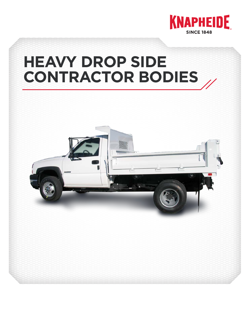

# **HEAVY DROP SIDE CONTRACTOR BODIES**

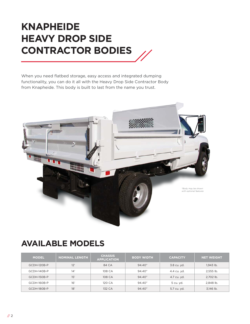## **KNAPHEIDE HEAVY DROP SIDE CONTRACTOR BODIES**

When you need flatbed storage, easy access and integrated dumping functionality, you can do it all with the Heavy Drop Side Contractor Body from Knapheide. This body is built to last from the name you trust.



### **AVAILABLE MODELS**

| <b>MODEL</b> | <b>NOMINAL LENGTH</b> | <b>CHASSIS</b><br><b>APPLICATION</b> | <b>BODY WIDTH</b> | <b>CAPACITY</b> | <b>NET WEIGHT</b> |
|--------------|-----------------------|--------------------------------------|-------------------|-----------------|-------------------|
| GCDH-120B-P  | 12'                   | 84 CA                                | 94.40"            | 3.8 cu. yd.     | 1.943 lb.         |
| GCDH-140B-P  | $14^{\circ}$          | 108 CA                               | 94.40"            | 4.4 cu. yd.     | 2,555 lb.         |
| GCDH-150B-P  | 15'                   | 108 CA                               | 94.40"            | 4.7 cu. yd.     | 2.702 lb.         |
| GCDH-160B-P  | 16'                   | 120 CA                               | 94.40"            | 5 cu. yd.       | 2,848 lb.         |
| GCDH-180B-P  | 18'                   | 132 CA                               | 94.40"            | 5.7 cu. yd.     | 3,146 lb.         |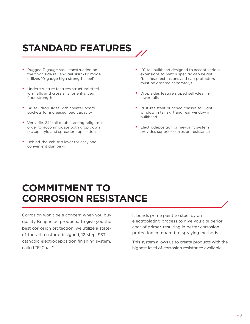# **STANDARD FEATURES**

- Rugged 7-gauge steel construction on the floor, side rail and tail skirt (12' model utilizes 10-gauge high strength steel)
- Understructure features structural steel long sills and cross sills for enhanced floor strength
- 14" tall drop sides with cheater board pockets for increased load capacity
- Versatile, 24" tall double-acting tailgate in order to accommodate both drop down pickup style and spreader applications
- Behind-the-cab trip lever for easy and convenient dumping
- 19" tall bulkhead designed to accept various extensions to match specific cab height (bulkhead extensions and cab protectors must be ordered separately)
- Drop sides feature sloped self-cleaning lower rails
- Rust-resistant punched chassis tail light window in tail skirt and rear window in bulkhead
- Electrodeposition prime-paint system provides superior corrosion resistance

### **COMMITMENT TO CORROSION RESISTANCE**

Corrosion won't be a concern when you buy quality Knapheide products. To give you the best corrosion protection, we utilize a stateof-the-art, custom-designed, 12-step, SST cathodic electrodeposition finishing system, called "E-Coat."

It bonds prime paint to steel by an electroplating process to give you a superior coat of primer, resulting in better corrosion protection compared to spraying methods.

This system allows us to create products with the highest level of corrosion resistance available.